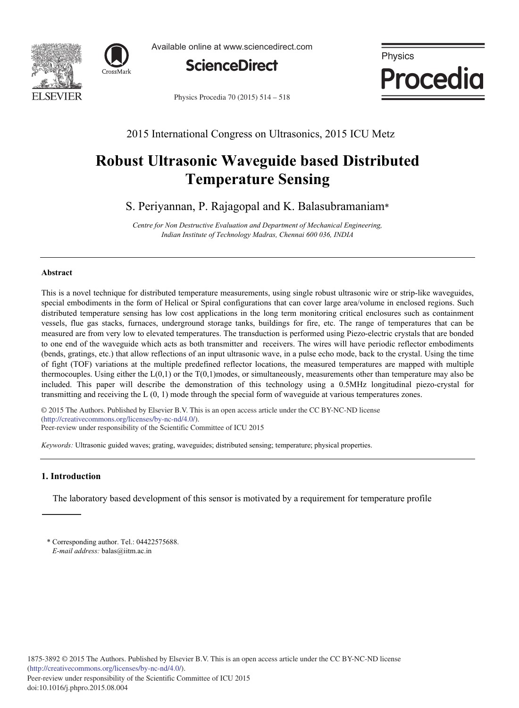



Available online at www.sciencedirect.com



Physics **Procedia** 

Physics Procedia 70 (2015) 514 - 518

2015 International Congress on Ultrasonics, 2015 ICU Metz

# **Robust Ultrasonic Waveguide based Distributed Temperature Sensing**

S. Periyannan, P. Rajagopal and K. Balasubramaniam\*

*Centre for Non Destructive Evaluation and Department of Mechanical Engineering, Indian Institute of Technology Madras, Chennai 600 036, INDIA*

## **Abstract**

This is a novel technique for distributed temperature measurements, using single robust ultrasonic wire or strip-like waveguides, special embodiments in the form of Helical or Spiral configurations that can cover large area/volume in enclosed regions. Such distributed temperature sensing has low cost applications in the long term monitoring critical enclosures such as containment vessels, flue gas stacks, furnaces, underground storage tanks, buildings for fire, etc. The range of temperatures that can be measured are from very low to elevated temperatures. The transduction is performed using Piezo-electric crystals that are bonded to one end of the waveguide which acts as both transmitter and receivers. The wires will have periodic reflector embodiments (bends, gratings, etc.) that allow reflections of an input ultrasonic wave, in a pulse echo mode, back to the crystal. Using the time of fight (TOF) variations at the multiple predefined reflector locations, the measured temperatures are mapped with multiple thermocouples. Using either the  $L(0,1)$  or the T $(0,1)$  modes, or simultaneously, measurements other than temperature may also be included. This paper will describe the demonstration of this technology using a 0.5MHz longitudinal piezo-crystal for transmitting and receiving the L (0, 1) mode through the special form of waveguide at various temperatures zones.

© 2015 The Authors. Published by Elsevier B.V. (http://creativecommons.org/licenses/by-nc-nd/4.0/). Peer-review under responsibility of the Scientific Committee of ICU 2015 © 2015 The Authors. Published by Elsevier B.V. This is an open access article under the CC BY-NC-ND license

*Keywords:* Ultrasonic guided waves; grating, waveguides; distributed sensing; temperature; physical properties.

## **1. Introduction**

The laboratory based development of this sensor is motivated by a requirement for temperature profile

<sup>\*</sup> Corresponding author. Tel.: 04422575688. *E-mail address:* balas@iitm.ac.in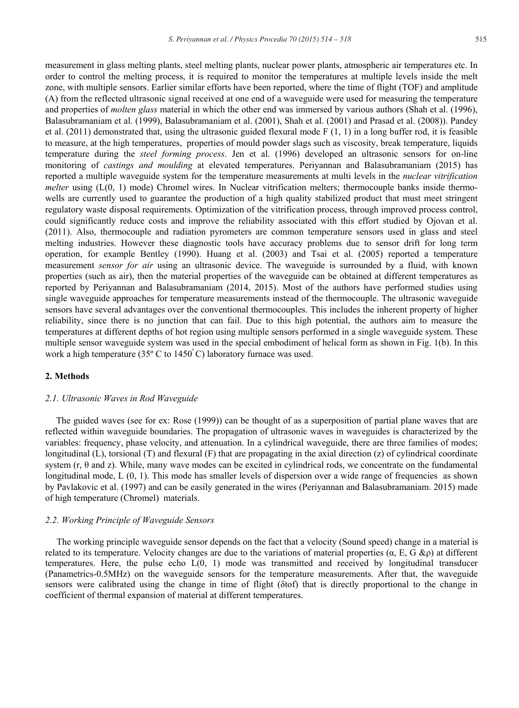measurement in glass melting plants, steel melting plants, nuclear power plants, atmospheric air temperatures etc. In order to control the melting process, it is required to monitor the temperatures at multiple levels inside the melt zone, with multiple sensors. Earlier similar efforts have been reported, where the time of flight (TOF) and amplitude (A) from the reflected ultrasonic signal received at one end of a waveguide were used for measuring the temperature and properties of *molten glass* material in which the other end was immersed by various authors (Shah et al. (1996), Balasubramaniam et al. (1999), Balasubramaniam et al. (2001), Shah et al. (2001) and Prasad et al. (2008)). Pandey et al. (2011) demonstrated that, using the ultrasonic guided flexural mode F (1, 1) in a long buffer rod, it is feasible to measure, at the high temperatures, properties of mould powder slags such as viscosity, break temperature, liquids temperature during the *steel forming process*. Jen et al. (1996) developed an ultrasonic sensors for on-line monitoring of *castings and moulding* at elevated temperatures. Periyannan and Balasubramaniam (2015) has reported a multiple waveguide system for the temperature measurements at multi levels in the *nuclear vitrification melter* using (L(0, 1) mode) Chromel wires. In Nuclear vitrification melters; thermocouple banks inside thermowells are currently used to guarantee the production of a high quality stabilized product that must meet stringent regulatory waste disposal requirements. Optimization of the vitrification process, through improved process control, could significantly reduce costs and improve the reliability associated with this effort studied by Ojovan et al. (2011). Also, thermocouple and radiation pyrometers are common temperature sensors used in glass and steel melting industries. However these diagnostic tools have accuracy problems due to sensor drift for long term operation, for example Bentley (1990). Huang et al. (2003) and Tsai et al. (2005) reported a temperature measurement *sensor for air* using an ultrasonic device. The waveguide is surrounded by a fluid, with known properties (such as air), then the material properties of the waveguide can be obtained at different temperatures as reported by Periyannan and Balasubramaniam (2014, 2015). Most of the authors have performed studies using single waveguide approaches for temperature measurements instead of the thermocouple. The ultrasonic waveguide sensors have several advantages over the conventional thermocouples. This includes the inherent property of higher reliability, since there is no junction that can fail. Due to this high potential, the authors aim to measure the temperatures at different depths of hot region using multiple sensors performed in a single waveguide system. These multiple sensor waveguide system was used in the special embodiment of helical form as shown in Fig. 1(b). In this work a high temperature (35 $\degree$  C to 1450 $\degree$ C) laboratory furnace was used.

## **2. Methods**

#### *2.1. Ultrasonic Waves in Rod Waveguide*

The guided waves (see for ex: Rose (1999)) can be thought of as a superposition of partial plane waves that are reflected within waveguide boundaries. The propagation of ultrasonic waves in waveguides is characterized by the variables: frequency, phase velocity, and attenuation. In a cylindrical waveguide, there are three families of modes; longitudinal (L), torsional (T) and flexural (F) that are propagating in the axial direction (z) of cylindrical coordinate system  $(r, \theta \text{ and } z)$ . While, many wave modes can be excited in cylindrical rods, we concentrate on the fundamental longitudinal mode, L  $(0, 1)$ . This mode has smaller levels of dispersion over a wide range of frequencies as shown by Pavlakovic et al. (1997) and can be easily generated in the wires (Periyannan and Balasubramaniam. 2015) made of high temperature (Chromel) materials.

#### *2.2. Working Principle of Waveguide Sensors*

The working principle waveguide sensor depends on the fact that a velocity (Sound speed) change in a material is related to its temperature. Velocity changes are due to the variations of material properties  $(\alpha, E, G \& \rho)$  at different temperatures. Here, the pulse echo L(0, 1) mode was transmitted and received by longitudinal transducer (Panametrics-0.5MHz) on the waveguide sensors for the temperature measurements. After that, the waveguide sensors were calibrated using the change in time of flight ( $\delta$ tof) that is directly proportional to the change in coefficient of thermal expansion of material at different temperatures.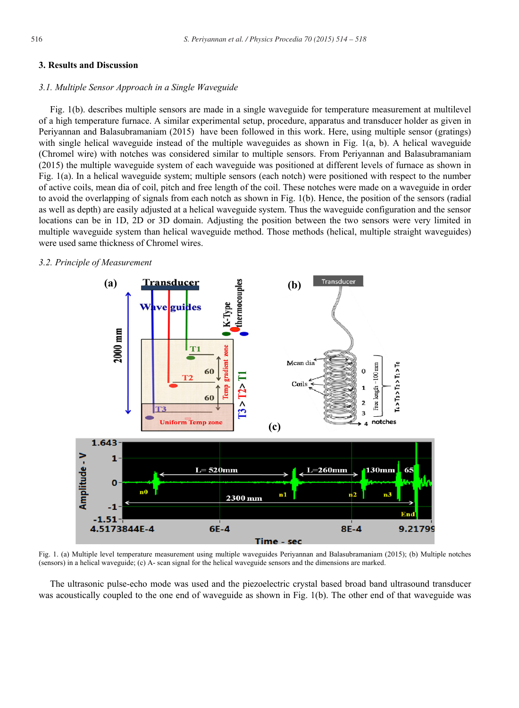## **3. Results and Discussion**

#### *3.1. Multiple Sensor Approach in a Single Waveguide*

Fig. 1(b). describes multiple sensors are made in a single waveguide for temperature measurement at multilevel of a high temperature furnace. A similar experimental setup, procedure, apparatus and transducer holder as given in Periyannan and Balasubramaniam (2015) have been followed in this work. Here, using multiple sensor (gratings) with single helical waveguide instead of the multiple waveguides as shown in Fig. 1(a, b). A helical waveguide (Chromel wire) with notches was considered similar to multiple sensors. From Periyannan and Balasubramaniam (2015) the multiple waveguide system of each waveguide was positioned at different levels of furnace as shown in Fig. 1(a). In a helical waveguide system; multiple sensors (each notch) were positioned with respect to the number of active coils, mean dia of coil, pitch and free length of the coil. These notches were made on a waveguide in order to avoid the overlapping of signals from each notch as shown in Fig. 1(b). Hence, the position of the sensors (radial as well as depth) are easily adjusted at a helical waveguide system. Thus the waveguide configuration and the sensor locations can be in 1D, 2D or 3D domain. Adjusting the position between the two sensors were very limited in multiple waveguide system than helical waveguide method. Those methods (helical, multiple straight waveguides) were used same thickness of Chromel wires.

## *3.2. Principle of Measurement*



Fig. 1. (a) Multiple level temperature measurement using multiple waveguides Periyannan and Balasubramaniam (2015); (b) Multiple notches (sensors) in a helical waveguide; (c) A- scan signal for the helical waveguide sensors and the dimensions are marked.

The ultrasonic pulse-echo mode was used and the piezoelectric crystal based broad band ultrasound transducer was acoustically coupled to the one end of waveguide as shown in Fig. 1(b). The other end of that waveguide was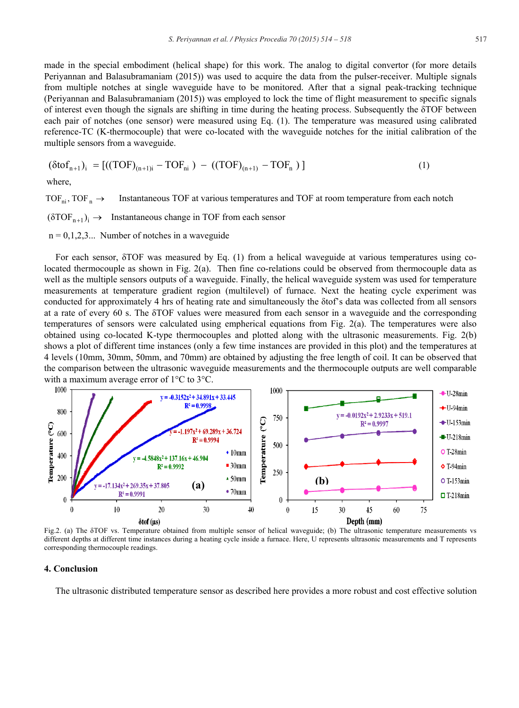made in the special embodiment (helical shape) for this work. The analog to digital convertor (for more details Periyannan and Balasubramaniam (2015)) was used to acquire the data from the pulser-receiver. Multiple signals from multiple notches at single waveguide have to be monitored. After that a signal peak-tracking technique (Periyannan and Balasubramaniam (2015)) was employed to lock the time of flight measurement to specific signals of interest even though the signals are shifting in time during the heating process. Subsequently the  $\delta$ TOF between each pair of notches (one sensor) were measured using Eq. (1). The temperature was measured using calibrated reference-TC (K-thermocouple) that were co-located with the waveguide notches for the initial calibration of the multiple sensors from a waveguide.

$$
(\delta \text{to} f_{n+1})_i = [((TOF)_{(n+1)i} - TOF_{ni}) - ((TOF)_{(n+1)} - TOF_{n})]
$$
\n(1)

where,

TOF<sub>ni</sub>, TOF<sub>n</sub>  $\rightarrow$  Instantaneous TOF at various temperatures and TOF at room temperature from each notch  $(\delta TOF_{n+1})_i \rightarrow$  Instantaneous change in TOF from each sensor  $n = 0, 1, 2, 3...$  Number of notches in a waveguide

For each sensor,  $\delta$ TOF was measured by Eq. (1) from a helical waveguide at various temperatures using colocated thermocouple as shown in Fig. 2(a). Then fine co-relations could be observed from thermocouple data as well as the multiple sensors outputs of a waveguide. Finally, the helical waveguide system was used for temperature measurements at temperature gradient region (multilevel) of furnace. Next the heating cycle experiment was conducted for approximately 4 hrs of heating rate and simultaneously the  $\delta$ tof's data was collected from all sensors at a rate of every 60 s. The  $\delta$ TOF values were measured from each sensor in a waveguide and the corresponding temperatures of sensors were calculated using empherical equations from Fig. 2(a). The temperatures were also obtained using co-located K-type thermocouples and plotted along with the ultrasonic measurements. Fig. 2(b) shows a plot of different time instances (only a few time instances are provided in this plot) and the temperatures at 4 levels (10mm, 30mm, 50mm, and 70mm) are obtained by adjusting the free length of coil. It can be observed that the comparison between the ultrasonic waveguide measurements and the thermocouple outputs are well comparable

with a maximum average error of 1°C to 3°C.



Fig.2. (a) The  $\delta$ TOF vs. Temperature obtained from multiple sensor of helical waveguide; (b) The ultrasonic temperature measurements vs different depths at different time instances during a heating cycle inside a furnace. Here, U represents ultrasonic measurements and T represents corresponding thermocouple readings.

#### **4. Conclusion**

The ultrasonic distributed temperature sensor as described here provides a more robust and cost effective solution